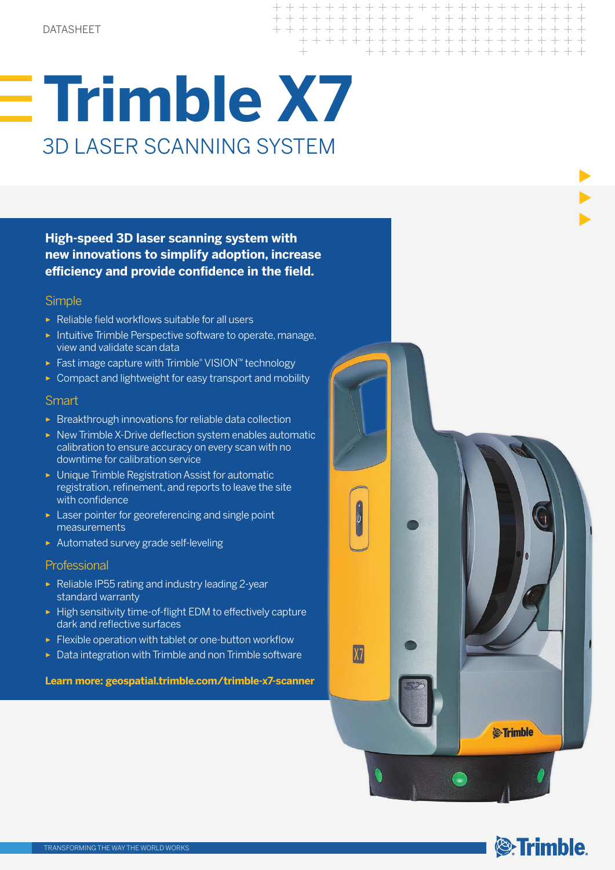# **Trimble X7** 3D LASER SCANNING SYSTEM

**High-speed 3D laser scanning system with new innovations to simplify adoption, increase efficiency and provide confidence in the field.**

#### **Simple**

- ► Reliable field workflows suitable for all users
- ► Intuitive Trimble Perspective software to operate, manage, view and validate scan data
- ► Fast image capture with Trimble® VISION™ technology
- ► Compact and lightweight for easy transport and mobility

#### **Smart**

- ► Breakthrough innovations for reliable data collection
- ► New Trimble X-Drive deflection system enables automatic calibration to ensure accuracy on every scan with no downtime for calibration service
- ► Unique Trimble Registration Assist for automatic registration, refinement, and reports to leave the site with confidence
- ► Laser pointer for georeferencing and single point measurements
- ► Automated survey grade self-leveling

#### Professional

- ► Reliable IP55 rating and industry leading 2-year standard warranty
- ► High sensitivity time-of-flight EDM to effectively capture dark and reflective surfaces
- ► Flexible operation with tablet or one-button workflow
- ► Data integration with Trimble and non Trimble software

#### **Learn more: geospatial.trimble.com/trimble-x7-scanner**



 $+ + + + + +$ 

+ + + + + + + + + +

+ + + + + + + + + + + + + + + +

 $\pm$ 

+ + + + + + + +

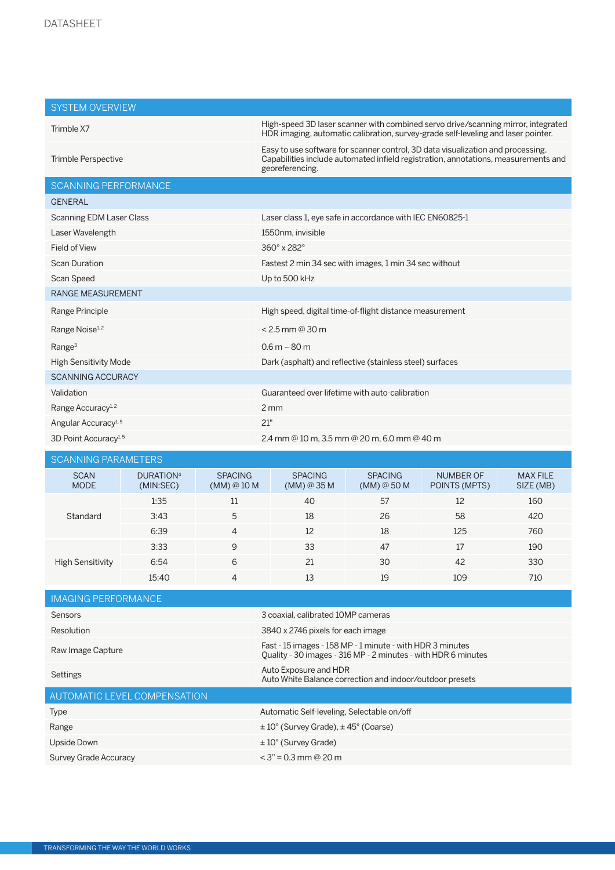| <b>SYSTEM OVERVIEW</b>           |                                    |                               |                                                                                                                                                                                          |                               |                                   |                              |  |
|----------------------------------|------------------------------------|-------------------------------|------------------------------------------------------------------------------------------------------------------------------------------------------------------------------------------|-------------------------------|-----------------------------------|------------------------------|--|
| Trimble X7                       |                                    |                               | High-speed 3D laser scanner with combined servo drive/scanning mirror, integrated<br>HDR imaging, automatic calibration, survey-grade self-leveling and laser pointer.                   |                               |                                   |                              |  |
| Trimble Perspective              |                                    |                               | Easy to use software for scanner control, 3D data visualization and processing.<br>Capabilities include automated infield registration, annotations, measurements and<br>georeferencing. |                               |                                   |                              |  |
| <b>SCANNING PERFORMANCE</b>      |                                    |                               |                                                                                                                                                                                          |                               |                                   |                              |  |
| <b>GENERAL</b>                   |                                    |                               |                                                                                                                                                                                          |                               |                                   |                              |  |
| <b>Scanning EDM Laser Class</b>  |                                    |                               | Laser class 1, eye safe in accordance with IEC EN60825-1                                                                                                                                 |                               |                                   |                              |  |
| Laser Wavelength                 |                                    |                               | 1550nm, invisible                                                                                                                                                                        |                               |                                   |                              |  |
| Field of View                    |                                    |                               | 360° x 282°                                                                                                                                                                              |                               |                                   |                              |  |
| <b>Scan Duration</b>             |                                    |                               | Fastest 2 min 34 sec with images, 1 min 34 sec without                                                                                                                                   |                               |                                   |                              |  |
| Scan Speed                       |                                    |                               | Up to 500 kHz                                                                                                                                                                            |                               |                                   |                              |  |
| <b>RANGE MEASUREMENT</b>         |                                    |                               |                                                                                                                                                                                          |                               |                                   |                              |  |
| Range Principle                  |                                    |                               | High speed, digital time-of-flight distance measurement                                                                                                                                  |                               |                                   |                              |  |
| Range Noise <sup>1,2</sup>       |                                    |                               | $< 2.5$ mm @ 30 m                                                                                                                                                                        |                               |                                   |                              |  |
| Range <sup>3</sup>               |                                    |                               | $0.6 m - 80 m$                                                                                                                                                                           |                               |                                   |                              |  |
| <b>High Sensitivity Mode</b>     |                                    |                               | Dark (asphalt) and reflective (stainless steel) surfaces                                                                                                                                 |                               |                                   |                              |  |
| <b>SCANNING ACCURACY</b>         |                                    |                               |                                                                                                                                                                                          |                               |                                   |                              |  |
| Validation                       |                                    |                               | Guaranteed over lifetime with auto-calibration                                                                                                                                           |                               |                                   |                              |  |
| Range Accuracy <sup>1,2</sup>    |                                    |                               | $2 \, \text{mm}$                                                                                                                                                                         |                               |                                   |                              |  |
| Angular Accuracy <sup>1,5</sup>  |                                    |                               | 21"                                                                                                                                                                                      |                               |                                   |                              |  |
| 3D Point Accuracy <sup>1,5</sup> |                                    |                               | 2.4 mm @ 10 m, 3.5 mm @ 20 m, 6.0 mm @ 40 m                                                                                                                                              |                               |                                   |                              |  |
| <b>SCANNING PARAMETERS</b>       |                                    |                               |                                                                                                                                                                                          |                               |                                   |                              |  |
| <b>SCAN</b><br><b>MODE</b>       | DURATION <sup>4</sup><br>(MIN:SEC) | <b>SPACING</b><br>(MM) @ 10 M | <b>SPACING</b><br>(MM) @ 35 M                                                                                                                                                            | <b>SPACING</b><br>(MM) @ 50 M | <b>NUMBER OF</b><br>POINTS (MPTS) | <b>MAX FILE</b><br>SIZE (MB) |  |
| Standard                         | 1:35                               | 11                            | 40                                                                                                                                                                                       | 57                            | 12                                | 160                          |  |
|                                  | 3:43                               | 5                             | 18                                                                                                                                                                                       | 26                            | 58                                | 420                          |  |
|                                  | 6:39                               | 4                             | 12                                                                                                                                                                                       | 18                            | 125                               | 760                          |  |
|                                  | 3:33                               | 9                             | 33                                                                                                                                                                                       | 47                            | 17                                | 190                          |  |
| <b>High Sensitivity</b>          | 6:54                               | 6                             | 21                                                                                                                                                                                       | 30                            | 42                                | 330                          |  |

| <b>IMAGING PERFORMANCE</b>   |                                                                                                                            |  |  |  |
|------------------------------|----------------------------------------------------------------------------------------------------------------------------|--|--|--|
| <b>Sensors</b>               | 3 coaxial, calibrated 10MP cameras                                                                                         |  |  |  |
| Resolution                   | 3840 x 2746 pixels for each image                                                                                          |  |  |  |
| Raw Image Capture            | Fast - 15 images - 158 MP - 1 minute - with HDR 3 minutes<br>Ouality - 30 images - 316 MP - 2 minutes - with HDR 6 minutes |  |  |  |
| Settings                     | Auto Exposure and HDR<br>Auto White Balance correction and indoor/outdoor presets                                          |  |  |  |
| AUTOMATIC LEVEL COMPENSATION |                                                                                                                            |  |  |  |
| <b>Type</b>                  | Automatic Self-leveling, Selectable on/off                                                                                 |  |  |  |
| Range                        | $\pm 10^{\circ}$ (Survey Grade), $\pm 45^{\circ}$ (Coarse)                                                                 |  |  |  |
| Upside Down                  | $\pm 10^{\circ}$ (Survey Grade)                                                                                            |  |  |  |
| Survey Grade Accuracy        | $<$ 3" = 0.3 mm @ 20 m                                                                                                     |  |  |  |

15:40 4 13 19 109 710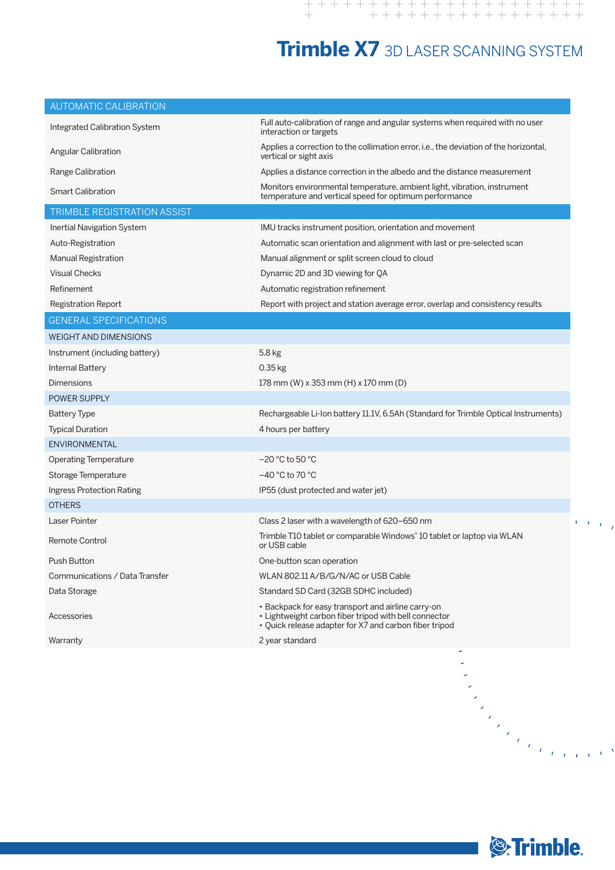## **Trimble X7** 3D LASER SCANNING SYSTEM

| <b>AUTOMATIC CALIBRATION</b>      |                                                                                                                                                                       |
|-----------------------------------|-----------------------------------------------------------------------------------------------------------------------------------------------------------------------|
| Integrated Calibration System     | Full auto-calibration of range and angular systems when required with no user<br>interaction or targets                                                               |
| Angular Calibration               | Applies a correction to the collimation error, i.e., the deviation of the horizontal,<br>vertical or sight axis                                                       |
| Range Calibration                 | Applies a distance correction in the albedo and the distance measurement                                                                                              |
| <b>Smart Calibration</b>          | Monitors environmental temperature, ambient light, vibration, instrument<br>temperature and vertical speed for optimum performance                                    |
| TRIMBLE REGISTRATION ASSIST       |                                                                                                                                                                       |
| <b>Inertial Navigation System</b> | IMU tracks instrument position, orientation and movement                                                                                                              |
| Auto-Registration                 | Automatic scan orientation and alignment with last or pre-selected scan                                                                                               |
| Manual Registration               | Manual alignment or split screen cloud to cloud                                                                                                                       |
| <b>Visual Checks</b>              | Dynamic 2D and 3D viewing for QA                                                                                                                                      |
| Refinement                        | Automatic registration refinement                                                                                                                                     |
| Registration Report               | Report with project and station average error, overlap and consistency results                                                                                        |
| <b>GENERAL SPECIFICATIONS</b>     |                                                                                                                                                                       |
| <b>WEIGHT AND DIMENSIONS</b>      |                                                                                                                                                                       |
| Instrument (including battery)    | 5.8 kg                                                                                                                                                                |
| <b>Internal Battery</b>           | 0.35 kg                                                                                                                                                               |
| Dimensions                        | 178 mm (W) x 353 mm (H) x 170 mm (D)                                                                                                                                  |
| <b>POWER SUPPLY</b>               |                                                                                                                                                                       |
| <b>Battery Type</b>               | Rechargeable Li-Ion battery 11.1V, 6.5Ah (Standard for Trimble Optical Instruments)                                                                                   |
| <b>Typical Duration</b>           | 4 hours per battery                                                                                                                                                   |
| <b>ENVIRONMENTAL</b>              |                                                                                                                                                                       |
| <b>Operating Temperature</b>      | $-20$ °C to 50 °C                                                                                                                                                     |
| Storage Temperature               | $-40\degree$ C to 70 $\degree$ C                                                                                                                                      |
| Ingress Protection Rating         | IP55 (dust protected and water jet)                                                                                                                                   |
| <b>OTHERS</b>                     |                                                                                                                                                                       |
| Laser Pointer                     | Class 2 laser with a wavelength of 620-650 nm                                                                                                                         |
| <b>Remote Control</b>             | Trimble T10 tablet or comparable Windows® 10 tablet or laptop via WLAN<br>or USB cable                                                                                |
| Push Button                       | One-button scan operation                                                                                                                                             |
| Communications / Data Transfer    | WLAN 802.11 A/B/G/N/AC or USB Cable                                                                                                                                   |
| Data Storage                      | Standard SD Card (32GB SDHC included)                                                                                                                                 |
| Accessories                       | • Backpack for easy transport and airline carry-on<br>• Lightweight carbon fiber tripod with bell connector<br>. Quick release adapter for X7 and carbon fiber tripod |
| Warranty                          | 2 year standard                                                                                                                                                       |
|                                   |                                                                                                                                                                       |
|                                   |                                                                                                                                                                       |
|                                   |                                                                                                                                                                       |
|                                   |                                                                                                                                                                       |
|                                   |                                                                                                                                                                       |
|                                   |                                                                                                                                                                       |
|                                   | ta<br>Maria ya mwaka                                                                                                                                                  |
|                                   |                                                                                                                                                                       |
|                                   |                                                                                                                                                                       |
|                                   |                                                                                                                                                                       |
|                                   |                                                                                                                                                                       |